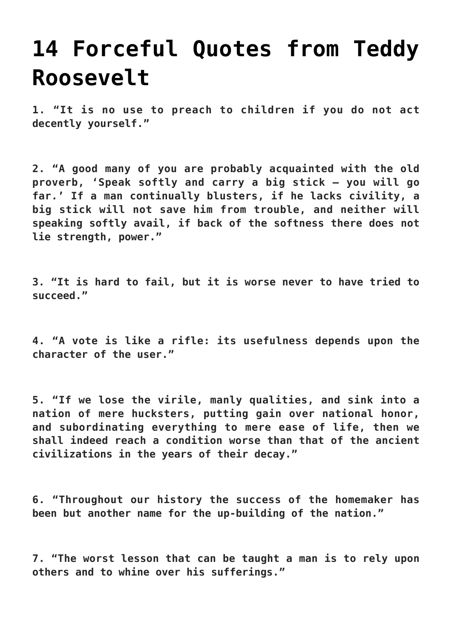## **[14 Forceful Quotes from Teddy](https://intellectualtakeout.org/2015/10/14-forceful-quotes-from-teddy-roosevelt/) [Roosevelt](https://intellectualtakeout.org/2015/10/14-forceful-quotes-from-teddy-roosevelt/)**

**1. "It is no use to preach to children if you do not act decently yourself."**

**2. "A good many of you are probably acquainted with the old proverb, 'Speak softly and carry a big stick — you will go far.' If a man continually blusters, if he lacks civility, a big stick will not save him from trouble, and neither will speaking softly avail, if back of the softness there does not lie strength, power."** 

**3. "It is hard to fail, but it is worse never to have tried to succeed."**

**4. "A vote is like a rifle: its usefulness depends upon the character of the user."**

**5. "If we lose the virile, manly qualities, and sink into a nation of mere hucksters, putting gain over national honor, and subordinating everything to mere ease of life, then we shall indeed reach a condition worse than that of the ancient civilizations in the years of their decay."**

**6. "Throughout our history the success of the homemaker has been but another name for the up-building of the nation."**

**7. "The worst lesson that can be taught a man is to rely upon others and to whine over his sufferings."**